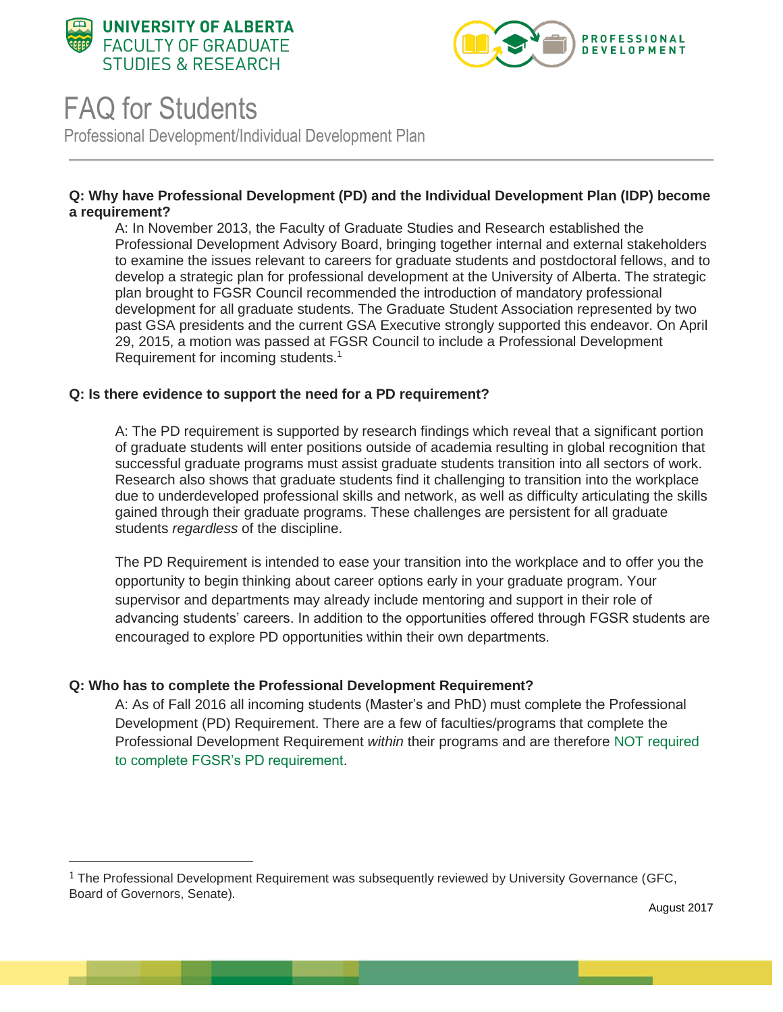



# FAQ for Students

l

Professional Development/Individual Development Plan

## **Q: Why have Professional Development (PD) and the Individual Development Plan (IDP) become a requirement?**

A: In November 2013, the Faculty of Graduate Studies and Research established the Professional Development Advisory Board, bringing together internal and external stakeholders to examine the issues relevant to careers for graduate students and postdoctoral fellows, and to develop a strategic plan for professional development at the University of Alberta. The strategic plan brought to FGSR Council recommended the introduction of mandatory professional development for all graduate students. The Graduate Student Association represented by two past GSA presidents and the current GSA Executive strongly supported this endeavor. On April 29, 2015, a motion was passed at FGSR Council to include a Professional Development Requirement for incoming students.<sup>1</sup>

## **Q: Is there evidence to support the need for a PD requirement?**

A: The PD requirement is supported by research findings which reveal that a significant portion of graduate students will enter positions outside of academia resulting in global recognition that successful graduate programs must assist graduate students transition into all sectors of work. Research also shows that graduate students find it challenging to transition into the workplace due to underdeveloped professional skills and network, as well as difficulty articulating the skills gained through their graduate programs. These challenges are persistent for all graduate students *regardless* of the discipline.

The PD Requirement is intended to ease your transition into the workplace and to offer you the opportunity to begin thinking about career options early in your graduate program. Your supervisor and departments may already include mentoring and support in their role of advancing students' careers. In addition to the opportunities offered through FGSR students are encouraged to explore PD opportunities within their own departments.

## **Q: Who has to complete the Professional Development Requirement?**

A: As of Fall 2016 all incoming students (Master's and PhD) must complete the Professional Development (PD) Requirement. There are a few of faculties/programs that complete the Professional Development Requirement *within* their programs and are therefor[e](https://www.ualberta.ca/graduate-studies/professional-development/professional-development-requirement/exemptions) [NOT required](https://www.ualberta.ca/graduate-studies/professional-development/professional-development-requirement/exemptions)  [to complete FGSR's PD requirement.](https://www.ualberta.ca/graduate-studies/professional-development/professional-development-requirement/exemptions)

August 2017

<sup>&</sup>lt;sup>1</sup> The Professional Development Requirement was subsequently reviewed by University Governance (GFC, Board of Governors, Senate).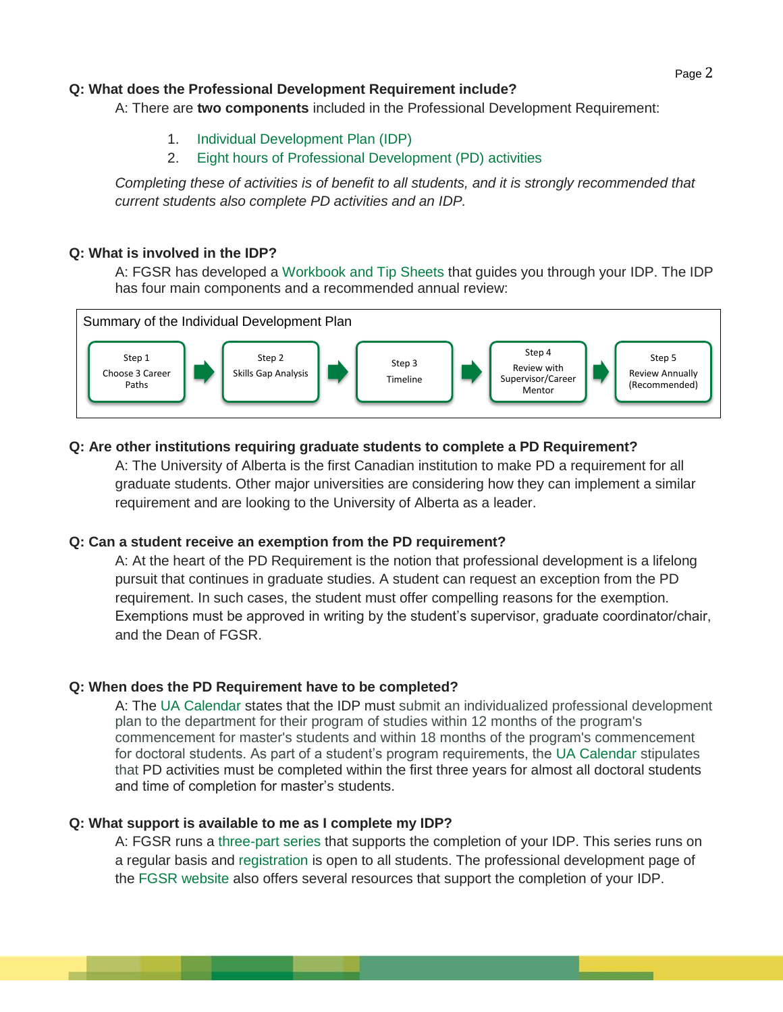## **Q: What does the Professional Development Requirement include?**

A: There are **two components** included in the Professional Development Requirement:

- 1. [Individual Development Plan \(IDP\)](https://www.ualberta.ca/graduate-studies/professional-development/professional-development-requirement/individual-development-plan)
- 2. [Eight hours of Professional Development \(PD\) activities](https://www.ualberta.ca/graduate-studies/professional-development/professional-development-requirement/eight-hours-of-professional-development-activities)

*Completing these of activities is of benefit to all students, and it is strongly recommended that current students also complete PD activities and an IDP.*

## **Q: What is involved in the IDP?**

A: FGSR has developed a [Workbook and Tip Sheets](https://www.ualberta.ca/graduate-studies/professional-development/professional-development-requirement/idp-workbook-and-tip-sheets) that guides you through your IDP. The IDP has four main components and a recommended annual review:



# **Q: Are other institutions requiring graduate students to complete a PD Requirement?**

A: The University of Alberta is the first Canadian institution to make PD a requirement for all graduate students. Other major universities are considering how they can implement a similar requirement and are looking to the University of Alberta as a leader.

# **Q: Can a student receive an exemption from the PD requirement?**

A: At the heart of the PD Requirement is the notion that professional development is a lifelong pursuit that continues in graduate studies. A student can request an exception from the PD requirement. In such cases, the student must offer compelling reasons for the exemption. Exemptions must be approved in writing by the student's supervisor, graduate coordinator/chair, and the Dean of FGSR.

# **Q: When does the PD Requirement have to be completed?**

A: The [UA Calendar](http://calendar.ualberta.ca/content.php?catoid=6&navoid=842#professional-development-requirement) states that the IDP must submit an individualized professional development plan to the department for their program of studies within 12 months of the program's commencement for master's students and within 18 months of the program's commencement for doctoral students. As part of a student's program requirements, the [UA Calendar](http://calendar.ualberta.ca/content.php?catoid=6&navoid=842#doctoral-degrees) stipulates that PD activities must be completed within the first three years for almost all doctoral students and time of completion for master's students.

## **Q: What support is available to me as I complete my IDP?**

and the company of the company of

A: FGSR runs [a](https://www.ualberta.ca/graduate-studies/professional-development/events/idp-sessions) [three-part series](https://www.ualberta.ca/graduate-studies/professional-development/events/idp-sessions) that supports the completion of your IDP. This series runs on a regular basis an[d](https://www.ualberta.ca/graduate-studies/professional-development/events/idp-sessions) [registration](https://www.ualberta.ca/graduate-studies/professional-development/events/idp-sessions) is open to all students. The professional development page of the [FGSR website](https://www.ualberta.ca/graduate-studies/professional-development/professional-development-requirement/idp-workbook-and-tip-sheets) also offers several resources that support the completion of your IDP.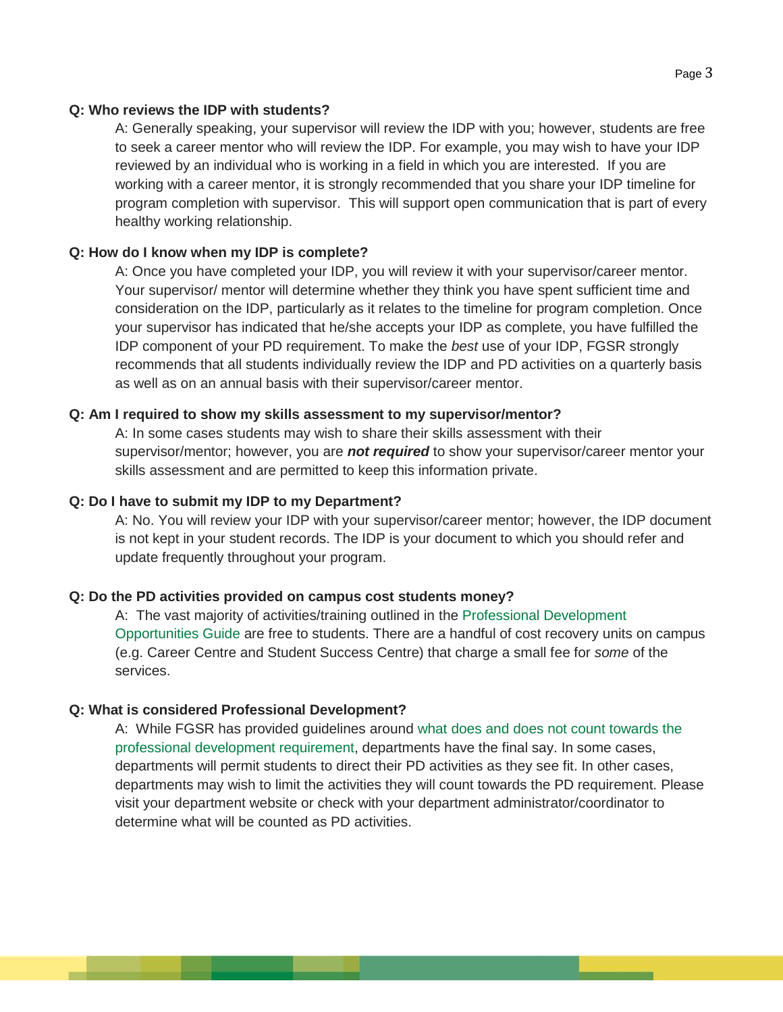#### **Q: Who reviews the IDP with students?**

A: Generally speaking, your supervisor will review the IDP with you; however, students are free to seek a career mentor who will review the IDP. For example, you may wish to have your IDP reviewed by an individual who is working in a field in which you are interested. If you are working with a career mentor, it is strongly recommended that you share your IDP timeline for program completion with supervisor. This will support open communication that is part of every healthy working relationship.

#### **Q: How do I know when my IDP is complete?**

A: Once you have completed your IDP, you will review it with your supervisor/career mentor. Your supervisor/ mentor will determine whether they think you have spent sufficient time and consideration on the IDP, particularly as it relates to the timeline for program completion. Once your supervisor has indicated that he/she accepts your IDP as complete, you have fulfilled the IDP component of your PD requirement. To make the *best* use of your IDP, FGSR strongly recommends that all students individually review the IDP and PD activities on a quarterly basis as well as on an annual basis with their supervisor/career mentor.

#### **Q: Am I required to show my skills assessment to my supervisor/mentor?**

A: In some cases students may wish to share their skills assessment with their supervisor/mentor; however, you are *not required* to show your supervisor/career mentor your skills assessment and are permitted to keep this information private.

#### **Q: Do I have to submit my IDP to my Department?**

A: No. You will review your IDP with your supervisor/career mentor; however, the IDP document is not kept in your student records. The IDP is your document to which you should refer and update frequently throughout your program.

#### **Q: Do the PD activities provided on campus cost students money?**

A: The vast majority of activities/training outlined in the [Professional Development](https://cloudfront.ualberta.ca/-/media/gradstudies/professional-development/pd-resources/2017-08-21-pdopportunititesguide.pdf)  [Opportunities Guide](https://cloudfront.ualberta.ca/-/media/gradstudies/professional-development/pd-resources/2017-08-21-pdopportunititesguide.pdf) are free to students. There are a handful of cost recovery units on campus (e.g. Career Centre and Student Success Centre) that charge a small fee for *some* of the services.

#### **Q: What is considered Professional Development?**

<u> a shekara ta 1989 a shekara ta 1989 a shekara ta 1989 a shekara ta 1989 a shekara ta 1989 a shekara ta 1989 a </u>

A: While FGSR has provided guidelines around [what does and does not count towards the](https://www.ualberta.ca/graduate-studies/professional-development/professional-development-requirement/eight-hours-of-professional-development-activities)  [professional development requirement,](https://www.ualberta.ca/graduate-studies/professional-development/professional-development-requirement/eight-hours-of-professional-development-activities) departments have the final say. In some cases, departments will permit students to direct their PD activities as they see fit. In other cases, departments may wish to limit the activities they will count towards the PD requirement. Please visit your department website or check with your department administrator/coordinator to determine what will be counted as PD activities.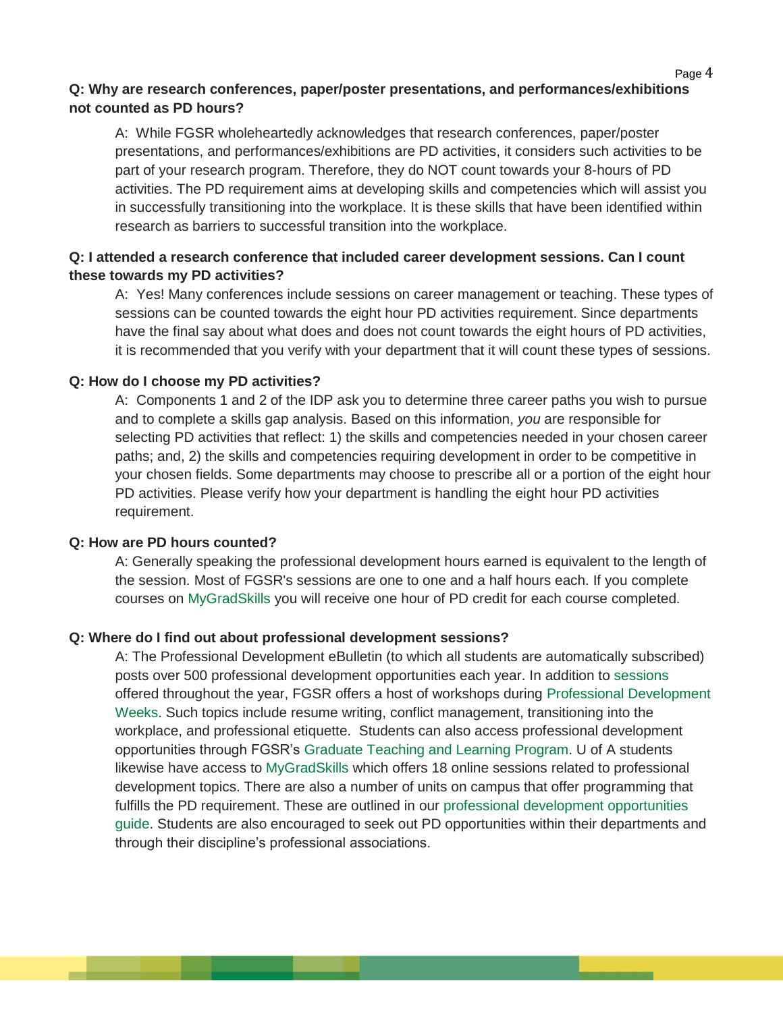#### $\mathsf P$ age  $4$

# **Q: Why are research conferences, paper/poster presentations, and performances/exhibitions not counted as PD hours?**

A: While FGSR wholeheartedly acknowledges that research conferences, paper/poster presentations, and performances/exhibitions are PD activities, it considers such activities to be part of your research program. Therefore, they do NOT count towards your 8-hours of PD activities. The PD requirement aims at developing skills and competencies which will assist you in successfully transitioning into the workplace. It is these skills that have been identified within research as barriers to successful transition into the workplace.

# **Q: I attended a research conference that included career development sessions. Can I count these towards my PD activities?**

A: Yes! Many conferences include sessions on career management or teaching. These types of sessions can be counted towards the eight hour PD activities requirement. Since departments have the final say about what does and does not count towards the eight hours of PD activities, it is recommended that you verify with your department that it will count these types of sessions.

#### **Q: How do I choose my PD activities?**

A: Components 1 and 2 of the IDP ask you to determine three career paths you wish to pursue and to complete a skills gap analysis. Based on this information, *you* are responsible for selecting PD activities that reflect: 1) the skills and competencies needed in your chosen career paths; and, 2) the skills and competencies requiring development in order to be competitive in your chosen fields. Some departments may choose to prescribe all or a portion of the eight hour PD activities. Please verify how your department is handling the eight hour PD activities requirement.

#### **Q: How are PD hours counted?**

\_\_\_\_

A: Generally speaking the professional development hours earned is equivalent to the length of the session. Most of FGSR's sessions are one to one and a half hours each. If you complete courses on [MyGradSkills](https://www.ualberta.ca/graduate-studies/professional-development/professional-development-resources/mygradskills) you will receive one hour of PD credit for each course completed.

## **Q: Where do I find out about professional development sessions?**

A: The Professional Development eBulletin (to which all students are automatically subscribed) posts over 500 professional development opportunities each year. In addition t[o](https://www.ualberta.ca/graduate-studies/professional-development/events) [sessions](https://www.ualberta.ca/graduate-studies/professional-development/events) offered throughout the year, FGSR offers a host of workshops durin[g](https://www.ualberta.ca/graduate-studies/professional-development/events/pd-week) [Professional Development](https://www.ualberta.ca/graduate-studies/professional-development/events/pd-week)  [Weeks.](https://www.ualberta.ca/graduate-studies/professional-development/events/pd-week) Such topics include resume writing, conflict management, transitioning into the workplace, and professional etiquette. Students can also access professional development opportunities through FGSR's [Graduate Teaching and Learning Program.](https://www.ualberta.ca/graduate-studies/professional-development/graduate-teaching-and-learning-program) U of A students likewise have access to [MyGradSkills](https://www.ualberta.ca/graduate-studies/professional-development/professional-development-resources/mygradskills) which offers 18 online sessions related to professional development topics. There are also a number of units on campus that offer programming that fulfills the PD requirement. These are outlined in our [professional development opportunities](https://cloudfront.ualberta.ca/-/media/gradstudies/professional-development/pd-resources/2017-08-21-pdopportunititesguide.pdf)  [guide.](https://cloudfront.ualberta.ca/-/media/gradstudies/professional-development/pd-resources/2017-08-21-pdopportunititesguide.pdf) Students are also encouraged to seek out PD opportunities within their departments and through their discipline's professional associations.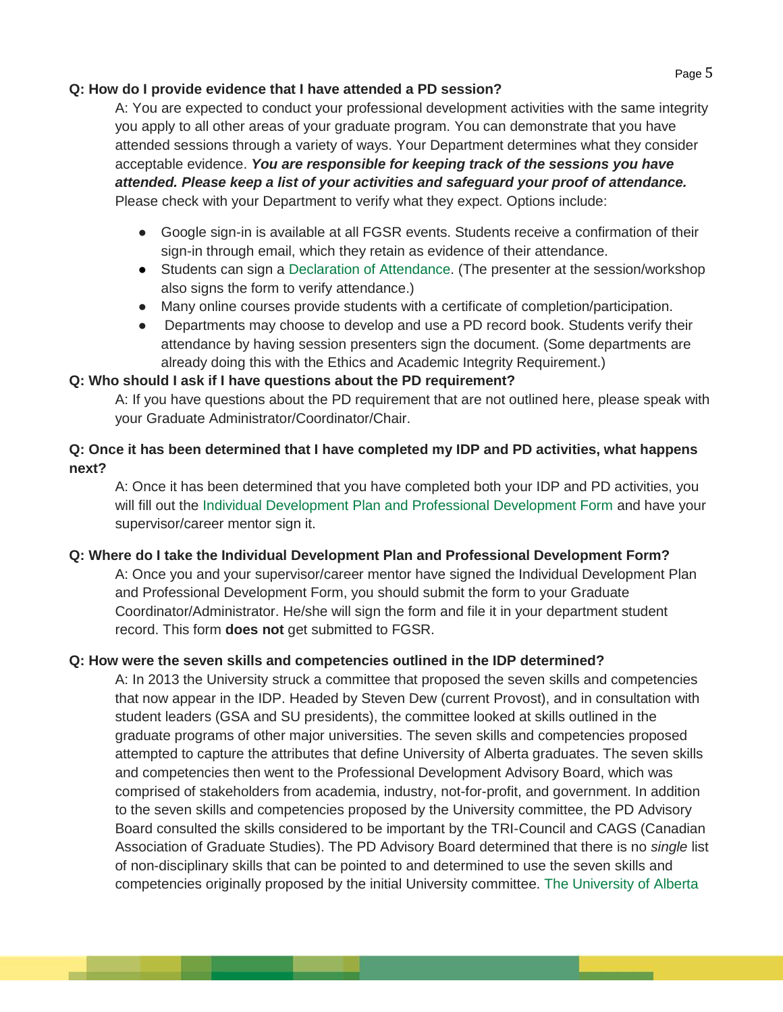## **Q: How do I provide evidence that I have attended a PD session?**

A: You are expected to conduct your professional development activities with the same integrity you apply to all other areas of your graduate program. You can demonstrate that you have attended sessions through a variety of ways. Your Department determines what they consider acceptable evidence. *You are responsible for keeping track of the sessions you have attended. Please keep a list of your activities and safeguard your proof of attendance.*  Please check with your Department to verify what they expect. Options include:

- Google sign-in is available at all FGSR events. Students receive a confirmation of their sign-in through email, which they retain as evidence of their attendance.
- Students can sign a [Declaration of Attendance.](https://www.ualberta.ca/graduate-studies/professional-development/professional-development-requirement/forms) (The presenter at the session/workshop also signs the form to verify attendance.)
- Many online courses provide students with a certificate of completion/participation.
- Departments may choose to develop and use a PD record book. Students verify their attendance by having session presenters sign the document. (Some departments are already doing this with the Ethics and Academic Integrity Requirement.)

# **Q: Who should I ask if I have questions about the PD requirement?**

A: If you have questions about the PD requirement that are not outlined here, please speak with your Graduate Administrator/Coordinator/Chair.

# **Q: Once it has been determined that I have completed my IDP and PD activities, what happens next?**

A: Once it has been determined that you have completed both your IDP and PD activities, you will fill out th[e](https://www.ualberta.ca/graduate-studies/-/media/gradstudies/forms-cabinet/records/professional-development/idp-and-pd-completion-form.pdf) [Individual Development Plan and Professional Development Form](https://www.ualberta.ca/graduate-studies/-/media/gradstudies/forms-cabinet/records/professional-development/idp-and-pd-completion-form.pdf) and have your supervisor/career mentor sign it.

# **Q: Where do I take the Individual Development Plan and Professional Development Form?**

A: Once you and your supervisor/career mentor have signed the Individual Development Plan and Professional Development Form, you should submit the form to your Graduate Coordinator/Administrator. He/she will sign the form and file it in your department student record. This form **does not** get submitted to FGSR.

# **Q: How were the seven skills and competencies outlined in the IDP determined?**

\_\_\_\_\_\_

A: In 2013 the University struck a committee that proposed the seven skills and competencies that now appear in the IDP. Headed by Steven Dew (current Provost), and in consultation with student leaders (GSA and SU presidents), the committee looked at skills outlined in the graduate programs of other major universities. The seven skills and competencies proposed attempted to capture the attributes that define University of Alberta graduates. The seven skills and competencies then went to the Professional Development Advisory Board, which was comprised of stakeholders from academia, industry, not-for-profit, and government. In addition to the seven skills and competencies proposed by the University committee, the PD Advisory Board consulted the skills considered to be important by the TRI-Council and CAGS (Canadian Association of Graduate Studies). The PD Advisory Board determined that there is no *single* list of non-disciplinary skills that can be pointed to and determined to use the seven skills and competencies originally proposed by the initial University committee[.](https://d1pbog36rugm0t.cloudfront.net/-/media/gradstudies/about/faculty-and-staff/uofaprofessionaldevelopmentplan/20150515pcdstrategicplanfinalwithappendicescompressed.pdf) [The University of Alberta](https://d1pbog36rugm0t.cloudfront.net/-/media/gradstudies/about/faculty-and-staff/uofaprofessionaldevelopmentplan/20150515pcdstrategicplanfinalwithappendicescompressed.pdf)